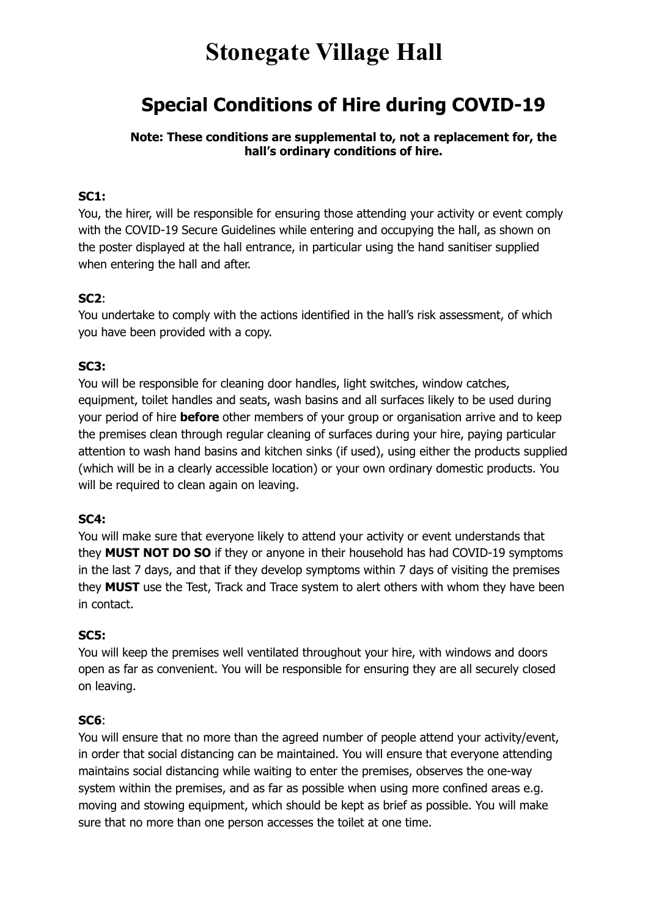# **Stonegate Village Hall**

# **Special Conditions of Hire during COVID-19**

**Note: These conditions are supplemental to, not a replacement for, the hall's ordinary conditions of hire.** 

#### **SC1:**

You, the hirer, will be responsible for ensuring those attending your activity or event comply with the COVID-19 Secure Guidelines while entering and occupying the hall, as shown on the poster displayed at the hall entrance, in particular using the hand sanitiser supplied when entering the hall and after.

#### **SC2**:

You undertake to comply with the actions identified in the hall's risk assessment, of which you have been provided with a copy.

#### **SC3:**

You will be responsible for cleaning door handles, light switches, window catches, equipment, toilet handles and seats, wash basins and all surfaces likely to be used during your period of hire **before** other members of your group or organisation arrive and to keep the premises clean through regular cleaning of surfaces during your hire, paying particular attention to wash hand basins and kitchen sinks (if used), using either the products supplied (which will be in a clearly accessible location) or your own ordinary domestic products. You will be required to clean again on leaving.

#### **SC4:**

You will make sure that everyone likely to attend your activity or event understands that they **MUST NOT DO SO** if they or anyone in their household has had COVID-19 symptoms in the last 7 days, and that if they develop symptoms within 7 days of visiting the premises they **MUST** use the Test, Track and Trace system to alert others with whom they have been in contact.

#### **SC5:**

You will keep the premises well ventilated throughout your hire, with windows and doors open as far as convenient. You will be responsible for ensuring they are all securely closed on leaving.

### **SC6**:

You will ensure that no more than the agreed number of people attend your activity/event, in order that social distancing can be maintained. You will ensure that everyone attending maintains social distancing while waiting to enter the premises, observes the one-way system within the premises, and as far as possible when using more confined areas e.g. moving and stowing equipment, which should be kept as brief as possible. You will make sure that no more than one person accesses the toilet at one time.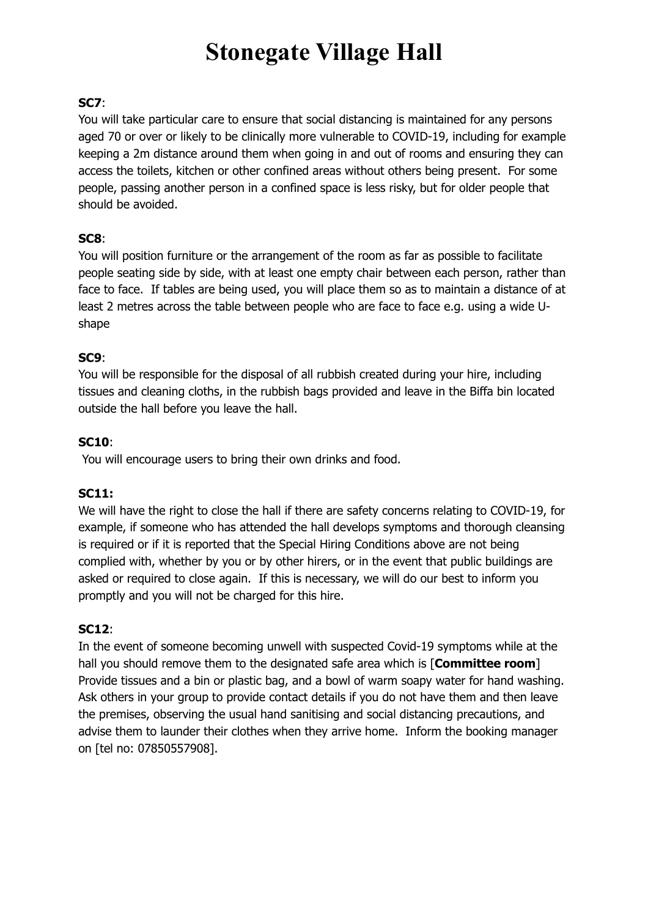# **Stonegate Village Hall**

## **SC7**:

You will take particular care to ensure that social distancing is maintained for any persons aged 70 or over or likely to be clinically more vulnerable to COVID-19, including for example keeping a 2m distance around them when going in and out of rooms and ensuring they can access the toilets, kitchen or other confined areas without others being present. For some people, passing another person in a confined space is less risky, but for older people that should be avoided.

### **SC8**:

You will position furniture or the arrangement of the room as far as possible to facilitate people seating side by side, with at least one empty chair between each person, rather than face to face. If tables are being used, you will place them so as to maintain a distance of at least 2 metres across the table between people who are face to face e.g. using a wide Ushape

### **SC9**:

You will be responsible for the disposal of all rubbish created during your hire, including tissues and cleaning cloths, in the rubbish bags provided and leave in the Biffa bin located outside the hall before you leave the hall.

### **SC10**:

You will encourage users to bring their own drinks and food.

### **SC11:**

We will have the right to close the hall if there are safety concerns relating to COVID-19, for example, if someone who has attended the hall develops symptoms and thorough cleansing is required or if it is reported that the Special Hiring Conditions above are not being complied with, whether by you or by other hirers, or in the event that public buildings are asked or required to close again. If this is necessary, we will do our best to inform you promptly and you will not be charged for this hire.

### **SC12**:

In the event of someone becoming unwell with suspected Covid-19 symptoms while at the hall you should remove them to the designated safe area which is [**Committee room**] Provide tissues and a bin or plastic bag, and a bowl of warm soapy water for hand washing. Ask others in your group to provide contact details if you do not have them and then leave the premises, observing the usual hand sanitising and social distancing precautions, and advise them to launder their clothes when they arrive home. Inform the booking manager on [tel no: 07850557908].